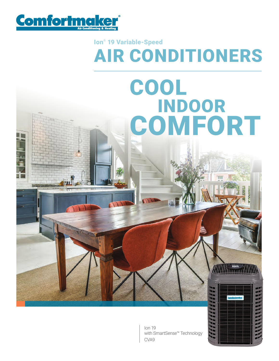

### AIR CONDITIONERS Ion® 19 Variable-Speed

# COOL INDOOR **COMFORT**

Ion 19 with SmartSense™ Technology CVA9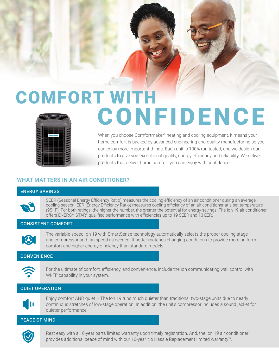## COMFORT WITH **CONFIDENCE**

When you choose Comfortmaker<sup>®</sup> heating and cooling equipment, it means your home comfort is backed by advanced engineering and quality manufacturing so you can enjoy more important things. Each unit is 100% run tested, and we design our products to give you exceptional quality, energy efficiency and reliability. We deliver products that deliver home comfort you can enjoy with confidence.

#### **WHAT MATTERS IN AN AIR CONDITIONER?**

#### ENERGY SAVINGS

SEER (Seasonal Energy Efficiency Ratio) measures the cooling efficiency of an air conditioner during an average cooling season. EER (Energy Efficiency Ratio) measures cooling efficiency of an air conditioner at a set temperature (95° F). For both ratings, the higher the number, the greater the potential for energy savings. The Ion 19 air conditioner offers ENERGY STAR® qualified performance with efficiencies up to 19 SEER and 13 EER.

#### CONSISTENT COMFORT



The variable-speed Ion 19 with SmartSense technology automatically selects the proper cooling stage and compressor and fan speed as needed. It better matches changing conditions to provide more uniform comfort and higher energy efficiency than standard models.

#### **CONVENIENCE**



For the ultimate of comfort, efficiency, and convenience, include the Ion communicating wall control with Wi-Fi® capability in your system.

#### QUIET OPERATION



Enjoy comfort AND quiet – The Ion 19 runs much quieter than traditional two-stage units due to nearly continuous stretches of low-stage operation. In addition, the unit's compressor includes a sound jacket for quieter performance.

#### PEACE OF MIND



Rest easy with a 10-year parts limited warranty upon timely registration. And, the Ion 19 air conditioner provides additional peace of mind with our 10-year No Hassle Replacement limited warranty™.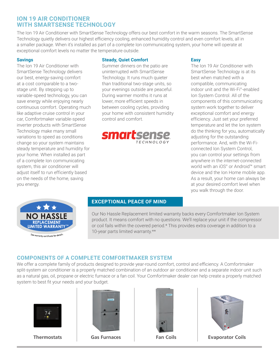#### **ION 19 AIR CONDITIONER WITH SMARTSENSE TECHNOLOGY**

The Ion 19 Air Conditioner with SmartSense Technology offers our best comfort in the warm seasons. The SmartSense Technology quietly delivers our highest efficiency cooling, enhanced humidity control and even comfort levels, all in a smaller package. When it's installed as part of a complete Ion communicating system, your home will operate at exceptional comfort levels no matter the temperature outside.

#### **Savings**

The Ion 19 Air Conditioner with SmartSense Technology delivers our best, energy-saving comfort at a cost comparable to a twostage unit. By stepping up to variable-speed technology, you can save energy while enjoying nearly continuous comfort. Operating much like adaptive cruise control in your car, Comfortmaker variable-speed inverter products with SmartSense Technology make many small variations to speed as conditions change so your system maintains steady temperature and humidity for your home. When installed as part of a complete Ion communicating system, this air conditioner will adjust itself to run efficiently based on the needs of the home, saving you energy.

#### **Steady, Quiet Comfort**

Summer dinners on the patio are uninterrupted with SmartSense Technology. It runs much quieter than traditional two-stage units, so your evenings outside are peaceful. During warmer months it runs at lower, more efficient speeds in between cooling cycles, providing your home with consistent humidity control and comfort.



#### **Easy**

The Ion 19 Air Conditioner with SmartSense Technology is at its best when matched with a compatible, communicating indoor unit and the Wi-Fi® -enabled Ion System Control. All of the components of this communicating system work together to deliver exceptional comfort and energy efficiency. Just set your preferred temperature and let the Ion system do the thinking for you, automatically adjusting for the outstanding performance. And, with the Wi-Ficonnected Ion System Control, you can control your settings from anywhere in the internet-connected world with an iOS® or Android™ smart device and the Ion Home mobile app. As a result, your home can always be at your desired comfort level when you walk through the door.



See warranty certificate for details

#### **EXCEPTIONAL PEACE OF MIND**

Our No Hassle Replacement limited warranty backs every Comfortmaker Ion System product. It means comfort with no questions. We'll replace your unit if the compressor or coil fails within the covered period.\* This provides extra coverage in addition to a 10-year parts limited warranty.\*\*

#### **COMPONENTS OF A COMPLETE COMFORTMAKER SYSTEM**

We offer a complete family of products designed to provide year-round comfort, control and efficiency. A Comfortmaker split-system air conditioner is a properly matched combination of an outdoor air conditioner and a separate indoor unit such as a natural gas, oil, propane or electric furnace or a fan coil. Your Comfortmaker dealer can help create a properly matched system to best fit your needs and your budget.









**Thermostats Gas Furnaces Fan Coils Evaporator Coils**